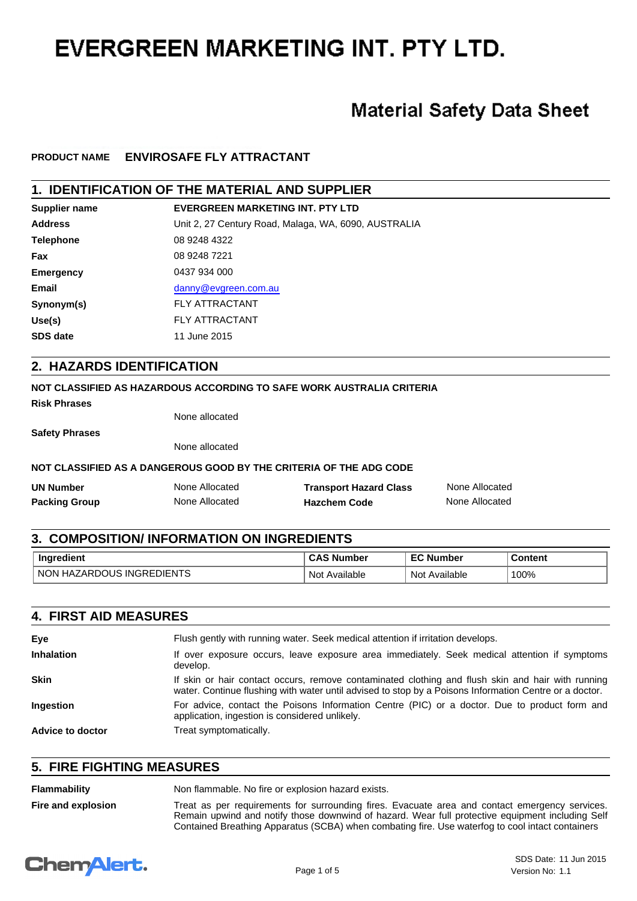# **EVERGREEN MARKETING INT. PTY LTD.**

## **Material Safety Data Sheet**

## **PRODUCT NAME ENVIROSAFE FLY ATTRACTANT**

## **1. IDENTIFICATION OF THE MATERIAL AND SUPPLIER**

| Supplier name    | <b>EVERGREEN MARKETING INT. PTY LTD</b>              |
|------------------|------------------------------------------------------|
| <b>Address</b>   | Unit 2, 27 Century Road, Malaga, WA, 6090, AUSTRALIA |
| <b>Telephone</b> | 08 9248 4322                                         |
| Fax              | 08 9248 7221                                         |
| <b>Emergency</b> | 0437 934 000                                         |
| Email            | danny@evgreen.com.au                                 |
| Synonym(s)       | <b>FLY ATTRACTANT</b>                                |
| Use(s)           | <b>FLY ATTRACTANT</b>                                |
| <b>SDS date</b>  | 11 June 2015                                         |

### **2. HAZARDS IDENTIFICATION**

#### **NOT CLASSIFIED AS HAZARDOUS ACCORDING TO SAFE WORK AUSTRALIA CRITERIA**

**Risk Phrases**

None allocated

**Safety Phrases**

None allocated

## **NOT CLASSIFIED AS A DANGEROUS GOOD BY THE CRITERIA OF THE ADG CODE**

| <b>UN Number</b>     | None Allocated | <b>Transport Hazard Class</b> | None Allocated |
|----------------------|----------------|-------------------------------|----------------|
| <b>Packing Group</b> | None Allocated | <b>Hazchem Code</b>           | None Allocated |

#### **3. COMPOSITION/ INFORMATION ON INGREDIENTS**

| <b>Ingredient</b>                               | <b>Number</b>    | -^<br>Number     | $T$ ontont |
|-------------------------------------------------|------------------|------------------|------------|
| $-$<br><b>NON</b><br>)I⊢N<br>INGRE<br>HA,<br>∸⊢ | Not<br>Available | Not<br>Available | 100%       |

### **4. FIRST AID MEASURES**

| Eye               | Flush gently with running water. Seek medical attention if irritation develops.                                                                                                                             |
|-------------------|-------------------------------------------------------------------------------------------------------------------------------------------------------------------------------------------------------------|
| <b>Inhalation</b> | If over exposure occurs, leave exposure area immediately. Seek medical attention if symptoms<br>develop.                                                                                                    |
| <b>Skin</b>       | If skin or hair contact occurs, remove contaminated clothing and flush skin and hair with running<br>water. Continue flushing with water until advised to stop by a Poisons Information Centre or a doctor. |
| <b>Ingestion</b>  | For advice, contact the Poisons Information Centre (PIC) or a doctor. Due to product form and<br>application, ingestion is considered unlikely.                                                             |
| Advice to doctor  | Treat symptomatically.                                                                                                                                                                                      |

## **5. FIRE FIGHTING MEASURES**

| Flammability       | Non flammable. No fire or explosion hazard exists.                                                                                                                                                                                                                                                     |
|--------------------|--------------------------------------------------------------------------------------------------------------------------------------------------------------------------------------------------------------------------------------------------------------------------------------------------------|
| Fire and explosion | Treat as per requirements for surrounding fires. Evacuate area and contact emergency services.<br>Remain upwind and notify those downwind of hazard. Wear full protective equipment including Self<br>Contained Breathing Apparatus (SCBA) when combating fire. Use waterfog to cool intact containers |

## **Chemalert.**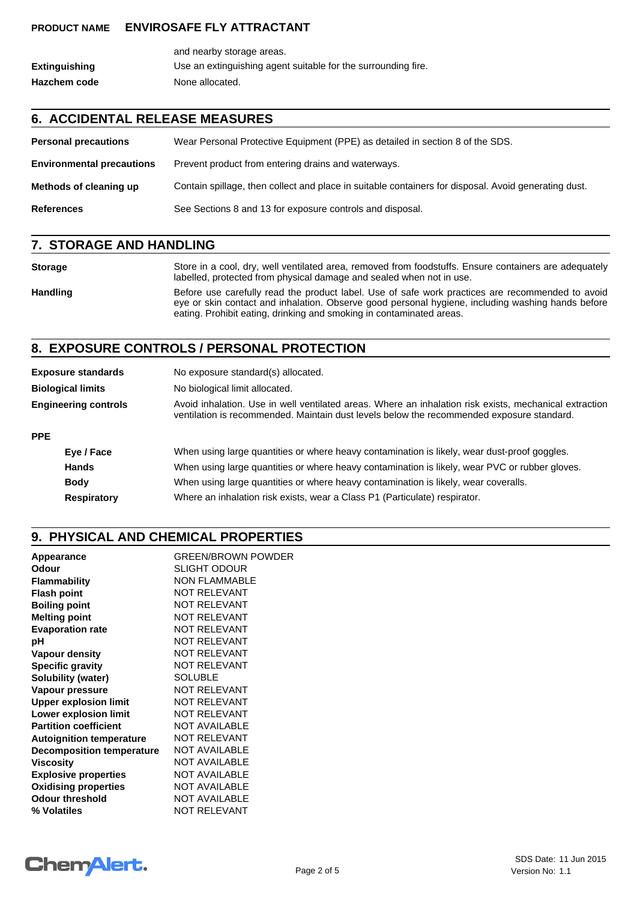### **PRODUCT NAME ENVIROSAFE FLY ATTRACTANT**

|               | and nearby storage areas.                                     |
|---------------|---------------------------------------------------------------|
| Extinguishing | Use an extinguishing agent suitable for the surrounding fire. |
| Hazchem code  | None allocated.                                               |

## **6. ACCIDENTAL RELEASE MEASURES**

| <b>Personal precautions</b>      | Wear Personal Protective Equipment (PPE) as detailed in section 8 of the SDS.                        |
|----------------------------------|------------------------------------------------------------------------------------------------------|
| <b>Environmental precautions</b> | Prevent product from entering drains and waterways.                                                  |
| Methods of cleaning up           | Contain spillage, then collect and place in suitable containers for disposal. Avoid generating dust. |
| <b>References</b>                | See Sections 8 and 13 for exposure controls and disposal.                                            |

## **7. STORAGE AND HANDLING**

| <b>Storage</b>  | Store in a cool, dry, well ventilated area, removed from foodstuffs. Ensure containers are adequately<br>labelled, protected from physical damage and sealed when not in use.                                                                                                 |
|-----------------|-------------------------------------------------------------------------------------------------------------------------------------------------------------------------------------------------------------------------------------------------------------------------------|
| <b>Handling</b> | Before use carefully read the product label. Use of safe work practices are recommended to avoid<br>eye or skin contact and inhalation. Observe good personal hygiene, including washing hands before<br>eating. Prohibit eating, drinking and smoking in contaminated areas. |

## **8. EXPOSURE CONTROLS / PERSONAL PROTECTION**

|                             | <b>Exposure standards</b> | No exposure standard(s) allocated.                                                                                                                                                                  |
|-----------------------------|---------------------------|-----------------------------------------------------------------------------------------------------------------------------------------------------------------------------------------------------|
|                             | <b>Biological limits</b>  | No biological limit allocated.                                                                                                                                                                      |
| <b>Engineering controls</b> |                           | Avoid inhalation. Use in well ventilated areas. Where an inhalation risk exists, mechanical extraction<br>ventilation is recommended. Maintain dust levels below the recommended exposure standard. |
| <b>PPE</b>                  |                           |                                                                                                                                                                                                     |
|                             | Eye / Face                | When using large quantities or where heavy contamination is likely, wear dust-proof goggles.                                                                                                        |
|                             | <b>Hands</b>              | When using large quantities or where heavy contamination is likely, wear PVC or rubber gloves.                                                                                                      |
|                             | <b>Body</b>               | When using large quantities or where heavy contamination is likely, wear coveralls.                                                                                                                 |
|                             | <b>Respiratory</b>        | Where an inhalation risk exists, wear a Class P1 (Particulate) respirator.                                                                                                                          |

## **9. PHYSICAL AND CHEMICAL PROPERTIES**

| Appearance                       | <b>GREEN/BROWN POWDER</b> |
|----------------------------------|---------------------------|
| Odour                            | <b>SLIGHT ODOUR</b>       |
| <b>Flammability</b>              | <b>NON FLAMMABLE</b>      |
| <b>Flash point</b>               | <b>NOT RELEVANT</b>       |
| <b>Boiling point</b>             | <b>NOT RELEVANT</b>       |
| <b>Melting point</b>             | NOT RELEVANT              |
| <b>Evaporation rate</b>          | NOT RELEVANT              |
| рH                               | <b>NOT RELEVANT</b>       |
| Vapour density                   | <b>NOT RELEVANT</b>       |
| <b>Specific gravity</b>          | <b>NOT RELEVANT</b>       |
| <b>Solubility (water)</b>        | <b>SOLUBLE</b>            |
| Vapour pressure                  | <b>NOT RELEVANT</b>       |
| <b>Upper explosion limit</b>     | <b>NOT RELEVANT</b>       |
| <b>Lower explosion limit</b>     | <b>NOT RELEVANT</b>       |
| <b>Partition coefficient</b>     | <b>NOT AVAILABLE</b>      |
| <b>Autoignition temperature</b>  | <b>NOT RELEVANT</b>       |
| <b>Decomposition temperature</b> | <b>NOT AVAILABLE</b>      |
| <b>Viscosity</b>                 | <b>NOT AVAILABLE</b>      |
| <b>Explosive properties</b>      | <b>NOT AVAILABLE</b>      |
| <b>Oxidising properties</b>      | <b>NOT AVAILABLE</b>      |
| <b>Odour threshold</b>           | <b>NOT AVAILABLE</b>      |
| % Volatiles                      | <b>NOT RELEVANT</b>       |
|                                  |                           |

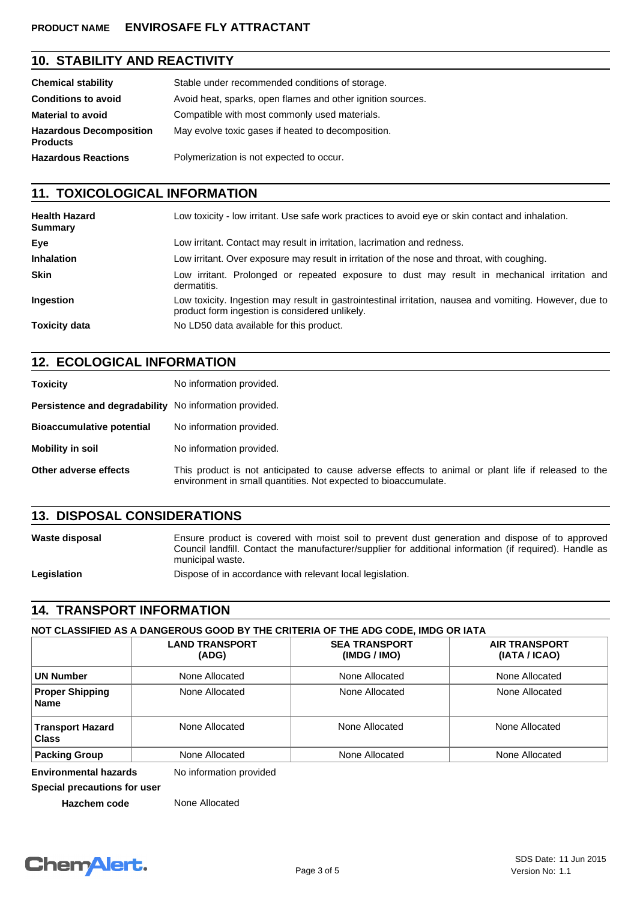#### **PRODUCT NAME ENVIROSAFE FLY ATTRACTANT**

## **10. STABILITY AND REACTIVITY**

| <b>Chemical stability</b>                         | Stable under recommended conditions of storage.             |
|---------------------------------------------------|-------------------------------------------------------------|
| <b>Conditions to avoid</b>                        | Avoid heat, sparks, open flames and other ignition sources. |
| <b>Material to avoid</b>                          | Compatible with most commonly used materials.               |
| <b>Hazardous Decomposition</b><br><b>Products</b> | May evolve toxic gases if heated to decomposition.          |
| <b>Hazardous Reactions</b>                        | Polymerization is not expected to occur.                    |

## **11. TOXICOLOGICAL INFORMATION**

| <b>Health Hazard</b><br><b>Summary</b> | Low toxicity - low irritant. Use safe work practices to avoid eye or skin contact and inhalation.                                                         |
|----------------------------------------|-----------------------------------------------------------------------------------------------------------------------------------------------------------|
| Eye                                    | Low irritant. Contact may result in irritation, lacrimation and redness.                                                                                  |
| <b>Inhalation</b>                      | Low irritant. Over exposure may result in irritation of the nose and throat, with coughing.                                                               |
| <b>Skin</b>                            | Low irritant. Prolonged or repeated exposure to dust may result in mechanical irritation and<br>dermatitis.                                               |
| Ingestion                              | Low toxicity. Ingestion may result in gastrointestinal irritation, nausea and vomiting. However, due to<br>product form ingestion is considered unlikely. |
| <b>Toxicity data</b>                   | No LD50 data available for this product.                                                                                                                  |

## **12. ECOLOGICAL INFORMATION**

| <b>Toxicity</b>                                        | No information provided.                                                                                                                                               |
|--------------------------------------------------------|------------------------------------------------------------------------------------------------------------------------------------------------------------------------|
| Persistence and degradability No information provided. |                                                                                                                                                                        |
| <b>Bioaccumulative potential</b>                       | No information provided.                                                                                                                                               |
| Mobility in soil                                       | No information provided.                                                                                                                                               |
| Other adverse effects                                  | This product is not anticipated to cause adverse effects to animal or plant life if released to the<br>environment in small quantities. Not expected to bioaccumulate. |

## **13. DISPOSAL CONSIDERATIONS**

Waste disposal **Ensure product is covered with moist soil to prevent dust generation and dispose of to approved** Council landfill. Contact the manufacturer/supplier for additional information (if required). Handle as municipal waste. Legislation **Dispose of in accordance with relevant local legislation.** 

## **14. TRANSPORT INFORMATION**

**NOT CLASSIFIED AS A DANGEROUS GOOD BY THE CRITERIA OF THE ADG CODE, IMDG OR IATA**

|                                         | <b>LAND TRANSPORT</b><br>(ADG) | <b>SEA TRANSPORT</b><br>(IMDG / IMO) | <b>AIR TRANSPORT</b><br>(IATA / ICAO) |  |
|-----------------------------------------|--------------------------------|--------------------------------------|---------------------------------------|--|
| UN Number                               | None Allocated                 | None Allocated                       | None Allocated<br>None Allocated      |  |
| <b>Proper Shipping</b><br><b>Name</b>   | None Allocated                 | None Allocated                       |                                       |  |
| <b>Transport Hazard</b><br><b>Class</b> | None Allocated                 | None Allocated                       | None Allocated                        |  |
| <b>Packing Group</b>                    | None Allocated                 | None Allocated                       | None Allocated                        |  |

**Environmental hazards** No information provided

**Special precautions for user**

**Hazchem code** None Allocated

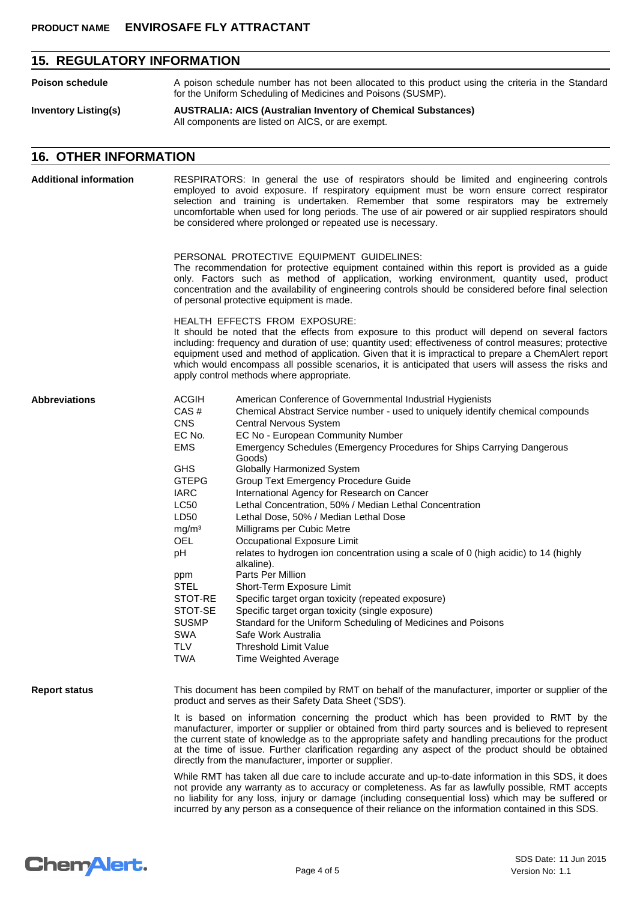## **15. REGULATORY INFORMATION**

| Poison schedule             | A poison schedule number has not been allocated to this product using the criteria in the Standard<br>for the Uniform Scheduling of Medicines and Poisons (SUSMP). |
|-----------------------------|--------------------------------------------------------------------------------------------------------------------------------------------------------------------|
| <b>Inventory Listing(s)</b> | <b>AUSTRALIA: AICS (Australian Inventory of Chemical Substances)</b><br>All components are listed on AICS, or are exempt.                                          |

## **16. OTHER INFORMATION**

| <b>Additional information</b> |                                                                                                                                                                                                                                                                                                                                                                                                                                                                                                         | RESPIRATORS: In general the use of respirators should be limited and engineering controls<br>employed to avoid exposure. If respiratory equipment must be worn ensure correct respirator<br>selection and training is undertaken. Remember that some respirators may be extremely<br>uncomfortable when used for long periods. The use of air powered or air supplied respirators should<br>be considered where prolonged or repeated use is necessary.                |  |  |  |  |  |
|-------------------------------|---------------------------------------------------------------------------------------------------------------------------------------------------------------------------------------------------------------------------------------------------------------------------------------------------------------------------------------------------------------------------------------------------------------------------------------------------------------------------------------------------------|------------------------------------------------------------------------------------------------------------------------------------------------------------------------------------------------------------------------------------------------------------------------------------------------------------------------------------------------------------------------------------------------------------------------------------------------------------------------|--|--|--|--|--|
|                               |                                                                                                                                                                                                                                                                                                                                                                                                                                                                                                         | PERSONAL PROTECTIVE EQUIPMENT GUIDELINES:<br>The recommendation for protective equipment contained within this report is provided as a guide<br>only. Factors such as method of application, working environment, quantity used, product<br>concentration and the availability of engineering controls should be considered before final selection<br>of personal protective equipment is made.                                                                        |  |  |  |  |  |
|                               | HEALTH EFFECTS FROM EXPOSURE:<br>It should be noted that the effects from exposure to this product will depend on several factors<br>including: frequency and duration of use; quantity used; effectiveness of control measures; protective<br>equipment used and method of application. Given that it is impractical to prepare a ChemAlert report<br>which would encompass all possible scenarios, it is anticipated that users will assess the risks and<br>apply control methods where appropriate. |                                                                                                                                                                                                                                                                                                                                                                                                                                                                        |  |  |  |  |  |
| <b>Abbreviations</b>          | <b>ACGIH</b>                                                                                                                                                                                                                                                                                                                                                                                                                                                                                            | American Conference of Governmental Industrial Hygienists                                                                                                                                                                                                                                                                                                                                                                                                              |  |  |  |  |  |
|                               | CAS#                                                                                                                                                                                                                                                                                                                                                                                                                                                                                                    | Chemical Abstract Service number - used to uniquely identify chemical compounds                                                                                                                                                                                                                                                                                                                                                                                        |  |  |  |  |  |
|                               | <b>CNS</b>                                                                                                                                                                                                                                                                                                                                                                                                                                                                                              | <b>Central Nervous System</b>                                                                                                                                                                                                                                                                                                                                                                                                                                          |  |  |  |  |  |
|                               | EC No.                                                                                                                                                                                                                                                                                                                                                                                                                                                                                                  | EC No - European Community Number                                                                                                                                                                                                                                                                                                                                                                                                                                      |  |  |  |  |  |
|                               | <b>EMS</b>                                                                                                                                                                                                                                                                                                                                                                                                                                                                                              | Emergency Schedules (Emergency Procedures for Ships Carrying Dangerous<br>Goods)                                                                                                                                                                                                                                                                                                                                                                                       |  |  |  |  |  |
|                               | <b>GHS</b>                                                                                                                                                                                                                                                                                                                                                                                                                                                                                              | Globally Harmonized System                                                                                                                                                                                                                                                                                                                                                                                                                                             |  |  |  |  |  |
|                               | <b>GTEPG</b>                                                                                                                                                                                                                                                                                                                                                                                                                                                                                            | Group Text Emergency Procedure Guide                                                                                                                                                                                                                                                                                                                                                                                                                                   |  |  |  |  |  |
|                               | <b>IARC</b>                                                                                                                                                                                                                                                                                                                                                                                                                                                                                             | International Agency for Research on Cancer                                                                                                                                                                                                                                                                                                                                                                                                                            |  |  |  |  |  |
|                               | LC50                                                                                                                                                                                                                                                                                                                                                                                                                                                                                                    | Lethal Concentration, 50% / Median Lethal Concentration                                                                                                                                                                                                                                                                                                                                                                                                                |  |  |  |  |  |
|                               | LD50                                                                                                                                                                                                                                                                                                                                                                                                                                                                                                    | Lethal Dose, 50% / Median Lethal Dose                                                                                                                                                                                                                                                                                                                                                                                                                                  |  |  |  |  |  |
|                               | mg/m <sup>3</sup>                                                                                                                                                                                                                                                                                                                                                                                                                                                                                       | Milligrams per Cubic Metre                                                                                                                                                                                                                                                                                                                                                                                                                                             |  |  |  |  |  |
|                               | <b>OEL</b>                                                                                                                                                                                                                                                                                                                                                                                                                                                                                              | Occupational Exposure Limit                                                                                                                                                                                                                                                                                                                                                                                                                                            |  |  |  |  |  |
|                               | pH                                                                                                                                                                                                                                                                                                                                                                                                                                                                                                      | relates to hydrogen ion concentration using a scale of 0 (high acidic) to 14 (highly<br>alkaline).                                                                                                                                                                                                                                                                                                                                                                     |  |  |  |  |  |
|                               | ppm                                                                                                                                                                                                                                                                                                                                                                                                                                                                                                     | Parts Per Million                                                                                                                                                                                                                                                                                                                                                                                                                                                      |  |  |  |  |  |
|                               | <b>STEL</b>                                                                                                                                                                                                                                                                                                                                                                                                                                                                                             | Short-Term Exposure Limit                                                                                                                                                                                                                                                                                                                                                                                                                                              |  |  |  |  |  |
|                               | STOT-RE                                                                                                                                                                                                                                                                                                                                                                                                                                                                                                 | Specific target organ toxicity (repeated exposure)                                                                                                                                                                                                                                                                                                                                                                                                                     |  |  |  |  |  |
|                               | STOT-SE                                                                                                                                                                                                                                                                                                                                                                                                                                                                                                 | Specific target organ toxicity (single exposure)                                                                                                                                                                                                                                                                                                                                                                                                                       |  |  |  |  |  |
|                               | <b>SUSMP</b>                                                                                                                                                                                                                                                                                                                                                                                                                                                                                            | Standard for the Uniform Scheduling of Medicines and Poisons                                                                                                                                                                                                                                                                                                                                                                                                           |  |  |  |  |  |
|                               | SWA                                                                                                                                                                                                                                                                                                                                                                                                                                                                                                     | Safe Work Australia                                                                                                                                                                                                                                                                                                                                                                                                                                                    |  |  |  |  |  |
|                               | <b>TLV</b>                                                                                                                                                                                                                                                                                                                                                                                                                                                                                              | <b>Threshold Limit Value</b>                                                                                                                                                                                                                                                                                                                                                                                                                                           |  |  |  |  |  |
|                               | <b>TWA</b>                                                                                                                                                                                                                                                                                                                                                                                                                                                                                              | Time Weighted Average                                                                                                                                                                                                                                                                                                                                                                                                                                                  |  |  |  |  |  |
| <b>Report status</b>          | This document has been compiled by RMT on behalf of the manufacturer, importer or supplier of the<br>product and serves as their Safety Data Sheet ('SDS').                                                                                                                                                                                                                                                                                                                                             |                                                                                                                                                                                                                                                                                                                                                                                                                                                                        |  |  |  |  |  |
|                               |                                                                                                                                                                                                                                                                                                                                                                                                                                                                                                         | It is based on information concerning the product which has been provided to RMT by the<br>manufacturer, importer or supplier or obtained from third party sources and is believed to represent<br>the current state of knowledge as to the appropriate safety and handling precautions for the product<br>at the time of issue. Further clarification regarding any aspect of the product should be obtained<br>directly from the manufacturer, importer or supplier. |  |  |  |  |  |
|                               | While RMT has taken all due care to include accurate and up-to-date information in this SDS, it does<br>not provide any warranty as to accuracy or completeness. As far as lawfully possible, RMT accepts<br>no liability for any loss, injury or damage (including consequential loss) which may be suffered or<br>incurred by any person as a consequence of their reliance on the information contained in this SDS.                                                                                 |                                                                                                                                                                                                                                                                                                                                                                                                                                                                        |  |  |  |  |  |

## **Chemalert.**